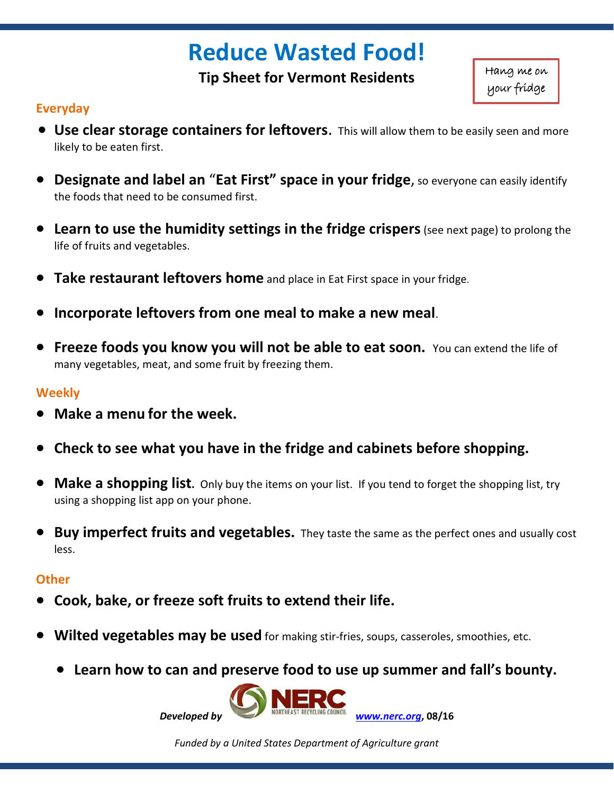# **Reduce Wasted Food!**

**Tip Sheet for Vermont Residents**

Hang me on your fridge

## **Everyday**

- **Use clear storage containers for leftovers**. This will allow them to be easily seen and more likely to be eaten first.
- **Designate and label an** "**Eat First" space in your fridge**, so everyone can easily identify the foods that need to be consumed first.
- **Learn to use the humidity settings in the fridge crispers** (see next page) to prolong the life of fruits and vegetables.
- **Take restaurant leftovers home** and place in Eat First space in your fridge.
- **Incorporate leftovers from one meal to make a new meal**.
- **Freeze foods you know you will not be able to eat soon.** You can extend the life of many vegetables, meat, and some fruit by freezing them.

### **Weekly**

- **Make a menu for the week.**
- **Check to see what you have in the fridge and cabinets before shopping.**
- **Make a shopping list.** Only buy the items on your list. If you tend to forget the shopping list, try using a shopping list app on your phone.
- **Buy imperfect fruits and vegetables.** They taste the same as the perfect ones and usually cost less.

#### **Other**

- **Cook, bake, or freeze soft fruits to extend their life.**
- **Wilted vegetables may be used** for making stir-fries, soups, casseroles, smoothies, etc.
	- **Learn how to can and preserve food to use up summer and fall's bounty.**



*Funded by a United States Department of Agriculture grant*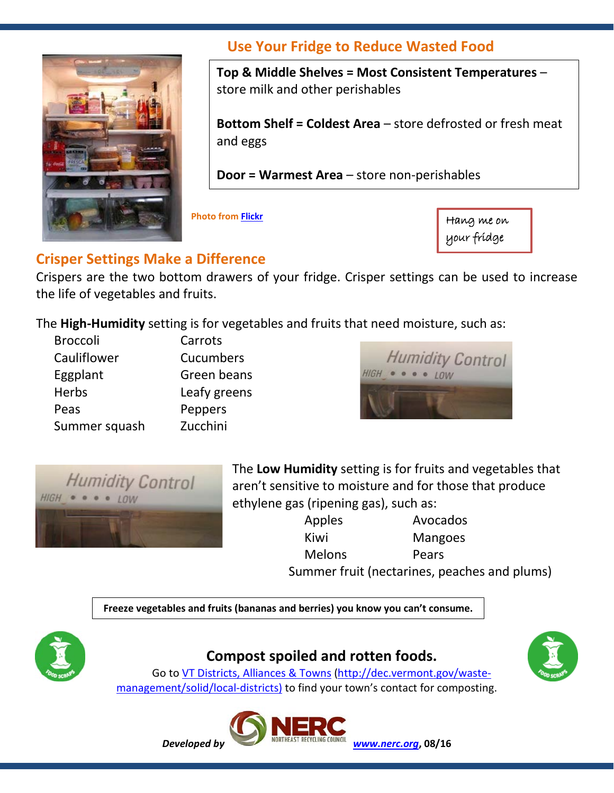

# **Use Your Fridge to Reduce Wasted Food**

**Top & Middle Shelves = Most Consistent Temperatures** – store milk and other perishables

**Bottom Shelf = Coldest Area** – store defrosted or fresh meat and eggs

**Door = Warmest Area** – store non-perishables

**Photo fro[m Flickr](https://www.flickr.com/photos/averagejane/2427502287)**

Hang me on your fridge

# **Crisper Settings Make a Difference**

Crispers are the two bottom drawers of your fridge. Crisper settings can be used to increase the life of vegetables and fruits.

The **High-Humidity** setting is for vegetables and fruits that need moisture, such as:

| <b>Broccoli</b> | Carrots      |
|-----------------|--------------|
| Cauliflower     | Cucumbers    |
| Eggplant        | Green beans  |
| <b>Herbs</b>    | Leafy greens |
| Peas            | Peppers      |
| Summer squash   | Zucchini     |





The **Low Humidity** setting is for fruits and vegetables that aren't sensitive to moisture and for those that produce ethylene gas (ripening gas), such as:

> Apples Avocados Kiwi Mangoes Melons Pears Summer fruit (nectarines, peaches and plums)

**Freeze vegetables and fruits (bananas and berries) you know you can't consume.**



# **Compost spoiled and rotten foods.**



Go to [VT Districts, Alliances & Towns](http://dec.vermont.gov/waste-management/solid/local-districts) [\(http://dec.vermont.gov/waste](http://dec.vermont.gov/waste-management/solid/local-districts)[management/solid/local-districts\)](http://dec.vermont.gov/waste-management/solid/local-districts) to find your town's contact for composting.